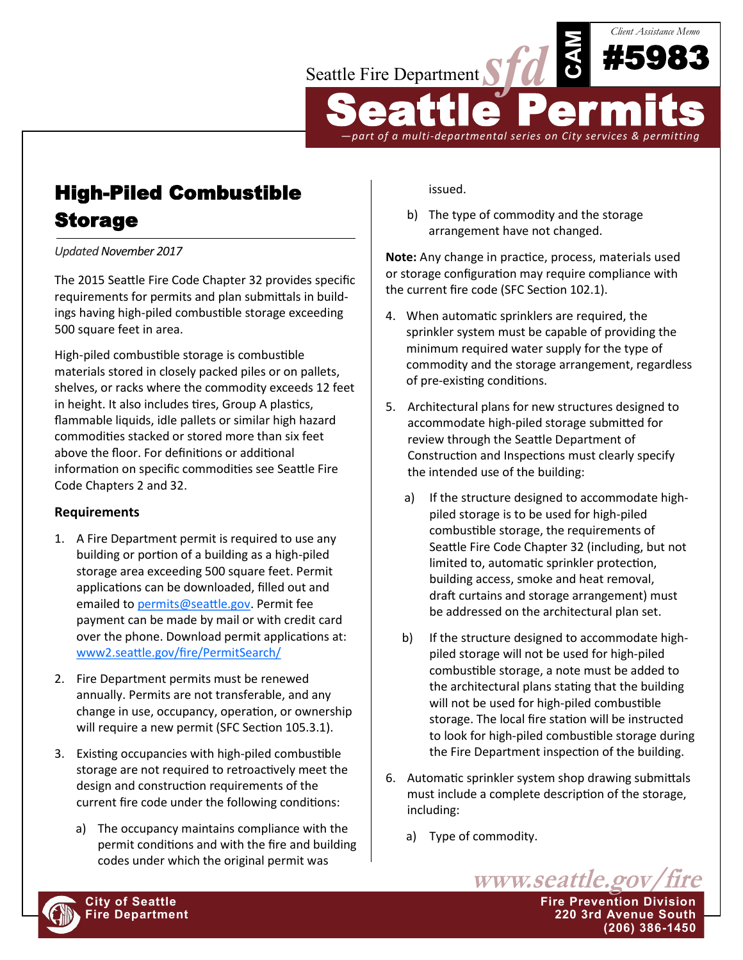

## High-Piled Combustible Storage

*Updated November 2017*

The 2015 Seattle Fire Code Chapter 32 provides specific requirements for permits and plan submittals in buildings having high-piled combustible storage exceeding 500 square feet in area.

High-piled combustible storage is combustible materials stored in closely packed piles or on pallets, shelves, or racks where the commodity exceeds 12 feet in height. It also includes tires, Group A plastics, flammable liquids, idle pallets or similar high hazard commodities stacked or stored more than six feet above the floor. For definitions or additional information on specific commodities see Seattle Fire Code Chapters 2 and 32.

## **Requirements**

- 1. A Fire Department permit is required to use any building or portion of a building as a high-piled storage area exceeding 500 square feet. Permit applications can be downloaded, filled out and emailed to [permits@seattle.gov.](mailto:permits@seattle.gov) Permit fee payment can be made by mail or with credit card over the phone. Download permit applications at: [www2.seattle.gov/fire/PermitSearch/](http://www2.seattle.gov/fire/PermitSearch/)
- 2. Fire Department permits must be renewed annually. Permits are not transferable, and any change in use, occupancy, operation, or ownership will require a new permit (SFC Section 105.3.1).
- 3. Existing occupancies with high-piled combustible storage are not required to retroactively meet the design and construction requirements of the current fire code under the following conditions:
	- a) The occupancy maintains compliance with the permit conditions and with the fire and building codes under which the original permit was

issued.

b) The type of commodity and the storage arrangement have not changed.

**Note:** Any change in practice, process, materials used or storage configuration may require compliance with the current fire code (SFC Section 102.1).

- 4. When automatic sprinklers are required, the sprinkler system must be capable of providing the minimum required water supply for the type of commodity and the storage arrangement, regardless of pre-existing conditions.
- 5. Architectural plans for new structures designed to accommodate high-piled storage submitted for review through the Seattle Department of Construction and Inspections must clearly specify the intended use of the building:
	- a) If the structure designed to accommodate highpiled storage is to be used for high-piled combustible storage, the requirements of Seattle Fire Code Chapter 32 (including, but not limited to, automatic sprinkler protection, building access, smoke and heat removal, draft curtains and storage arrangement) must be addressed on the architectural plan set.
	- b) If the structure designed to accommodate highpiled storage will not be used for high-piled combustible storage, a note must be added to the architectural plans stating that the building will not be used for high-piled combustible storage. The local fire station will be instructed to look for high-piled combustible storage during the Fire Department inspection of the building.
- 6. Automatic sprinkler system shop drawing submittals must include a complete description of the storage, including:

www.seattle.gov/fire

**(206) 386-1450**

a) Type of commodity.